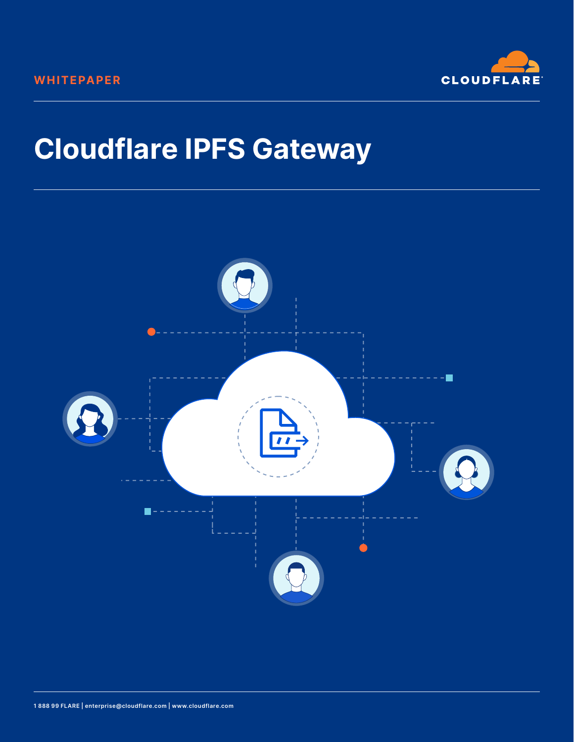

# **Cloudflare IPFS Gateway**

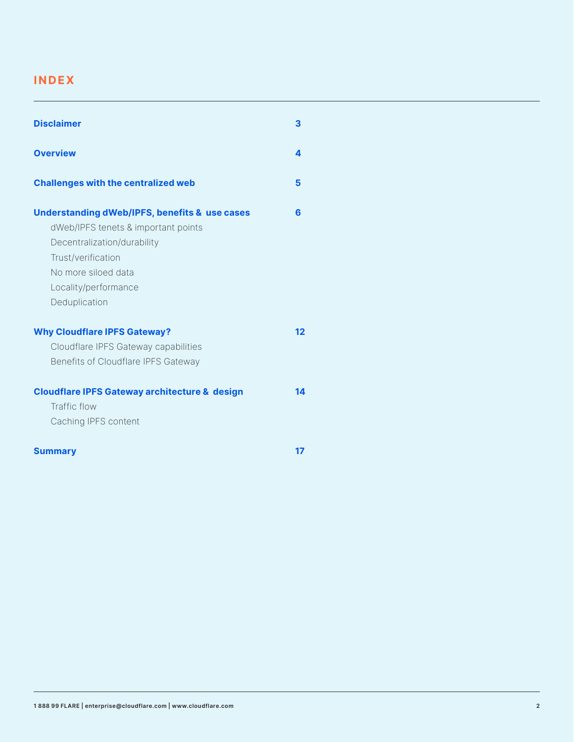#### **INDEX**

| <b>Disclaimer</b>                                                                                                                                                                                                    | $\overline{\mathbf{3}}$ |
|----------------------------------------------------------------------------------------------------------------------------------------------------------------------------------------------------------------------|-------------------------|
| <b>Overview</b>                                                                                                                                                                                                      | $\overline{\mathbf{4}}$ |
| <b>Challenges with the centralized web</b>                                                                                                                                                                           | $5\phantom{1}$          |
| <b>Understanding dWeb/IPFS, benefits &amp; use cases</b><br>dWeb/IPFS tenets & important points<br>Decentralization/durability<br>Trust/verification<br>No more siloed data<br>Locality/performance<br>Deduplication | 6                       |
| <b>Why Cloudflare IPFS Gateway?</b><br>Cloudflare IPFS Gateway capabilities<br>Benefits of Cloudflare IPFS Gateway                                                                                                   | 12                      |
| <b>Cloudflare IPFS Gateway architecture &amp; design</b><br>Traffic flow<br>Caching IPFS content                                                                                                                     | 14                      |
| <b>Summary</b>                                                                                                                                                                                                       | 17                      |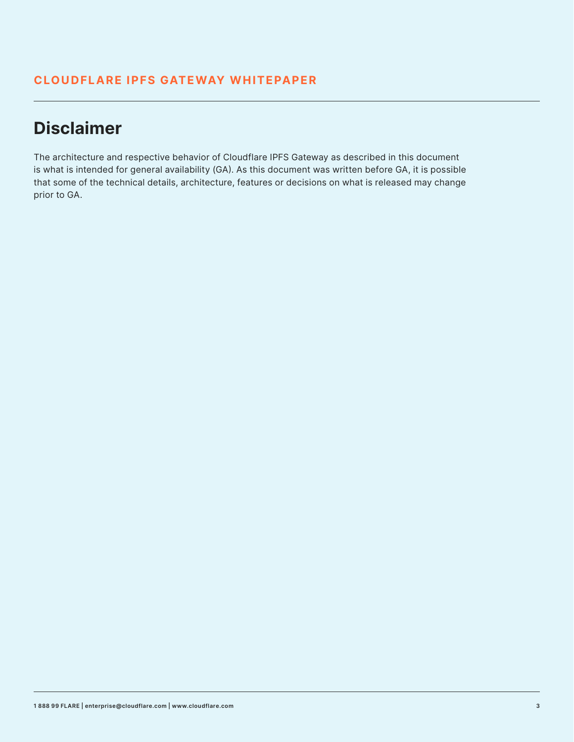## **Disclaimer**

The architecture and respective behavior of Cloudflare IPFS Gateway as described in this document is what is intended for general availability (GA). As this document was written before GA, it is possible that some of the technical details, architecture, features or decisions on what is released may change prior to GA.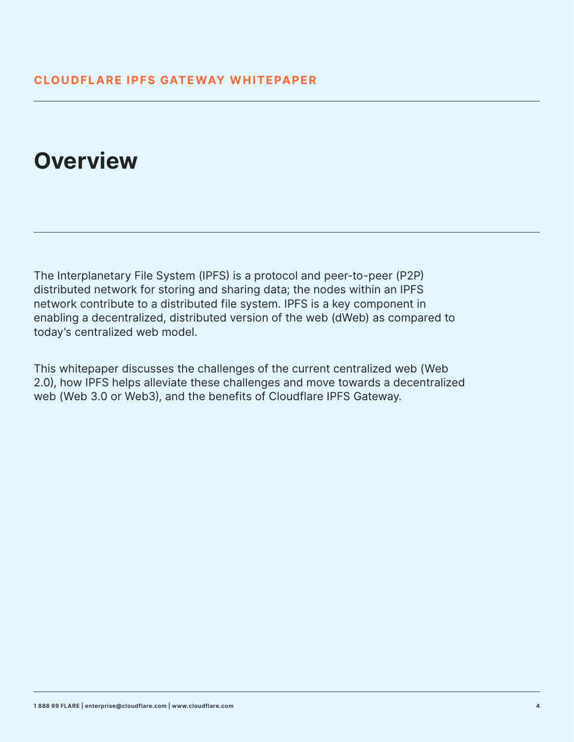## **Overview**

The Interplanetary File System (IPFS) is a protocol and peer-to-peer (P2P) distributed network for storing and sharing data; the nodes within an IPFS network contribute to a distributed file system. IPFS is a key component in enabling a decentralized, distributed version of the web (dWeb) as compared to today's centralized web model.

This whitepaper discusses the challenges of the current centralized web (Web 2.0), how IPFS helps alleviate these challenges and move towards a decentralized web (Web 3.0 or Web3), and the benefits of Cloudflare IPFS Gateway.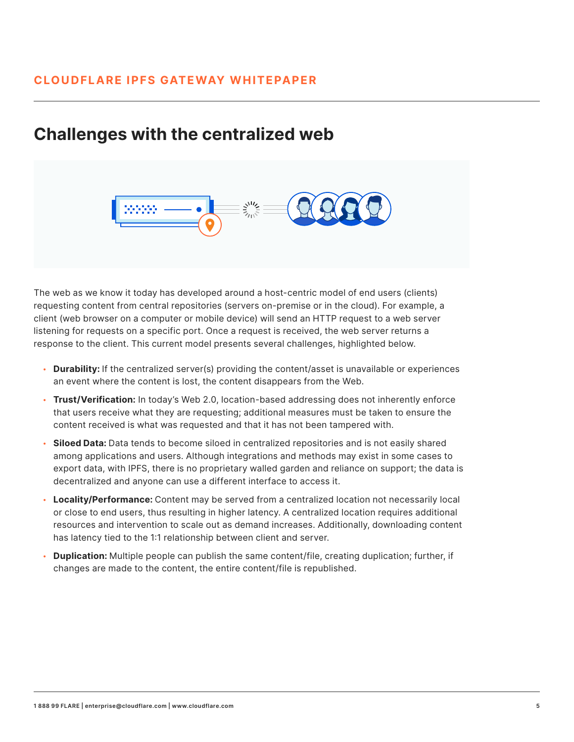## **Challenges with the centralized web**



The web as we know it today has developed around a host-centric model of end users (clients) requesting content from central repositories (servers on-premise or in the cloud). For example, a client (web browser on a computer or mobile device) will send an HTTP request to a web server listening for requests on a specific port. Once a request is received, the web server returns a response to the client. This current model presents several challenges, highlighted below.

- **Durability:** If the centralized server(s) providing the content/asset is unavailable or experiences an event where the content is lost, the content disappears from the Web.
- **Trust/Verification:** In today's Web 2.0, location-based addressing does not inherently enforce that users receive what they are requesting; additional measures must be taken to ensure the content received is what was requested and that it has not been tampered with.
- **Siloed Data:** Data tends to become siloed in centralized repositories and is not easily shared among applications and users. Although integrations and methods may exist in some cases to export data, with IPFS, there is no proprietary walled garden and reliance on support; the data is decentralized and anyone can use a different interface to access it.
- **Locality/Performance:** Content may be served from a centralized location not necessarily local or close to end users, thus resulting in higher latency. A centralized location requires additional resources and intervention to scale out as demand increases. Additionally, downloading content has latency tied to the 1:1 relationship between client and server.
- **Duplication:** Multiple people can publish the same content/file, creating duplication; further, if changes are made to the content, the entire content/file is republished.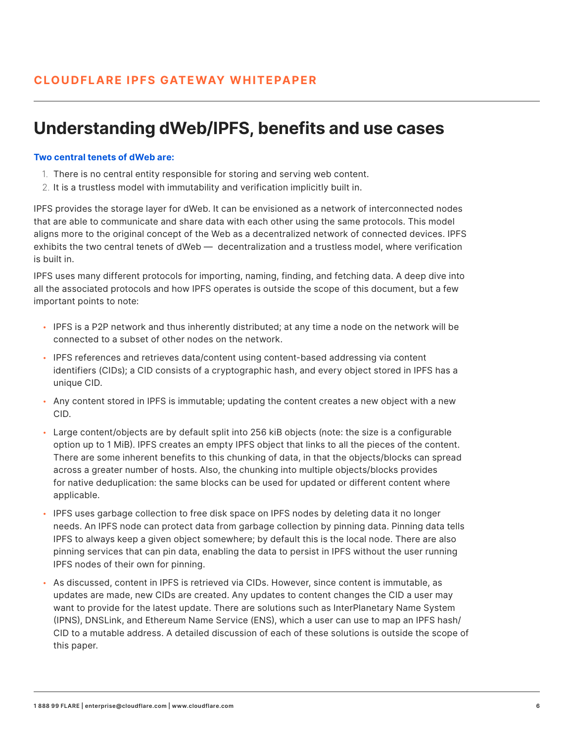## **Understanding dWeb/IPFS, benefits and use cases**

#### **Two central tenets of dWeb are:**

- 1. There is no central entity responsible for storing and serving web content.
- 2. It is a trustless model with immutability and verification implicitly built in.

IPFS provides the storage layer for dWeb. It can be envisioned as a network of interconnected nodes that are able to communicate and share data with each other using the same protocols. This model aligns more to the original concept of the Web as a decentralized network of connected devices. IPFS exhibits the two central tenets of dWeb — decentralization and a trustless model, where verification is built in.

IPFS uses many different protocols for importing, naming, finding, and fetching data. A deep dive into all the associated protocols and how IPFS operates is outside the scope of this document, but a few important points to note:

- IPFS is a P2P network and thus inherently distributed; at any time a node on the network will be connected to a subset of other nodes on the network.
- IPFS references and retrieves data/content using content-based addressing via content identifiers (CIDs); a CID consists of a cryptographic hash, and every object stored in IPFS has a unique CID.
- Any content stored in IPFS is immutable; updating the content creates a new object with a new CID.
- Large content/objects are by default split into 256 kiB objects (note: the size is a configurable option up to 1 MiB). IPFS creates an empty IPFS object that links to all the pieces of the content. There are some inherent benefits to this chunking of data, in that the objects/blocks can spread across a greater number of hosts. Also, the chunking into multiple objects/blocks provides for native deduplication: the same blocks can be used for updated or different content where applicable.
- IPFS uses garbage collection to free disk space on IPFS nodes by deleting data it no longer needs. An IPFS node can protect data from garbage collection by pinning data. Pinning data tells IPFS to always keep a given object somewhere; by default this is the local node. There are also pinning services that can pin data, enabling the data to persist in IPFS without the user running IPFS nodes of their own for pinning.
- As discussed, content in IPFS is retrieved via CIDs. However, since content is immutable, as updates are made, new CIDs are created. Any updates to content changes the CID a user may want to provide for the latest update. There are solutions such as InterPlanetary Name System (IPNS), DNSLink, and Ethereum Name Service (ENS), which a user can use to map an IPFS hash/ CID to a mutable address. A detailed discussion of each of these solutions is outside the scope of this paper.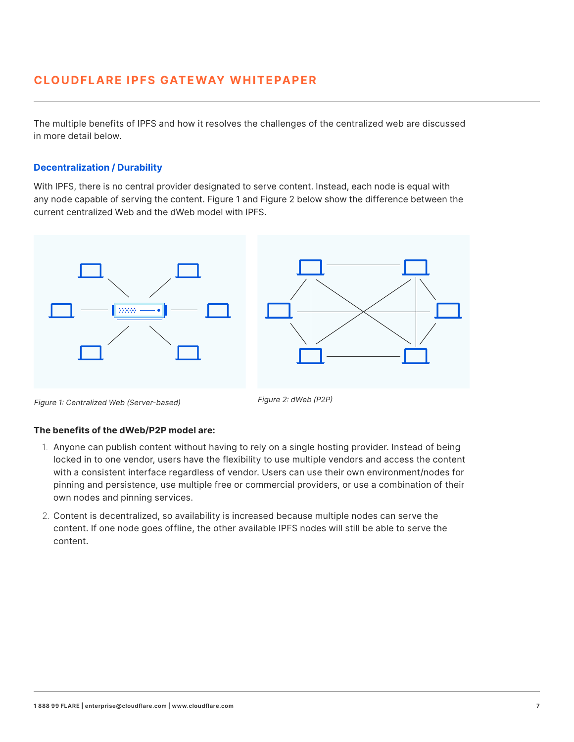The multiple benefits of IPFS and how it resolves the challenges of the centralized web are discussed in more detail below.

#### **Decentralization / Durability**

With IPFS, there is no central provider designated to serve content. Instead, each node is equal with any node capable of serving the content. Figure 1 and Figure 2 below show the difference between the current centralized Web and the dWeb model with IPFS.



Figure 1: Centralized Web (Server-based) Figure 2: dWeb (P2P)

#### **The benefits of the dWeb/P2P model are:**

- 1. Anyone can publish content without having to rely on a single hosting provider. Instead of being locked in to one vendor, users have the flexibility to use multiple vendors and access the content with a consistent interface regardless of vendor. Users can use their own environment/nodes for pinning and persistence, use multiple free or commercial providers, or use a combination of their own nodes and pinning services.
- 2. Content is decentralized, so availability is increased because multiple nodes can serve the content. If one node goes offline, the other available IPFS nodes will still be able to serve the content.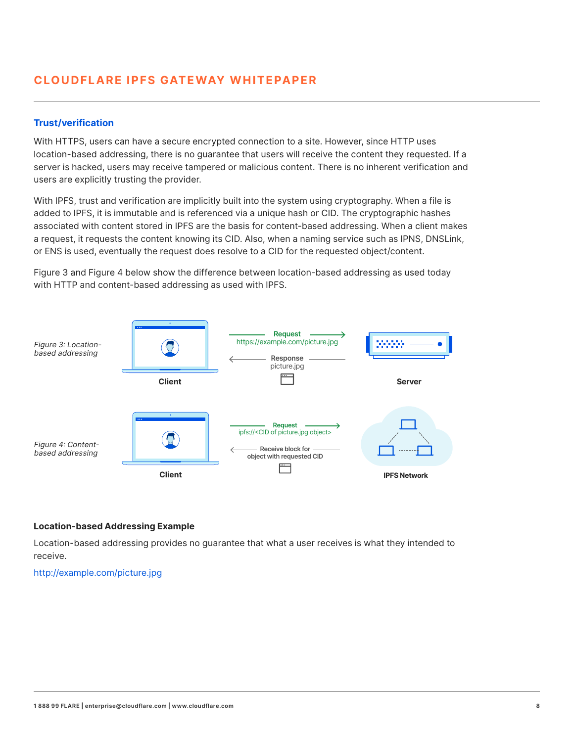#### **Trust/verification**

With HTTPS, users can have a secure encrypted connection to a site. However, since HTTP uses location-based addressing, there is no guarantee that users will receive the content they requested. If a server is hacked, users may receive tampered or malicious content. There is no inherent verification and users are explicitly trusting the provider.

With IPFS, trust and verification are implicitly built into the system using cryptography. When a file is added to IPFS, it is immutable and is referenced via a unique hash or CID. The cryptographic hashes associated with content stored in IPFS are the basis for content-based addressing. When a client makes a request, it requests the content knowing its CID. Also, when a naming service such as IPNS, DNSLink, or ENS is used, eventually the request does resolve to a CID for the requested object/content.

Figure 3 and Figure 4 below show the difference between location-based addressing as used today with HTTP and content-based addressing as used with IPFS.



#### **Location-based Addressing Example**

Location-based addressing provides no guarantee that what a user receives is what they intended to receive.

http://example.com/picture.jpg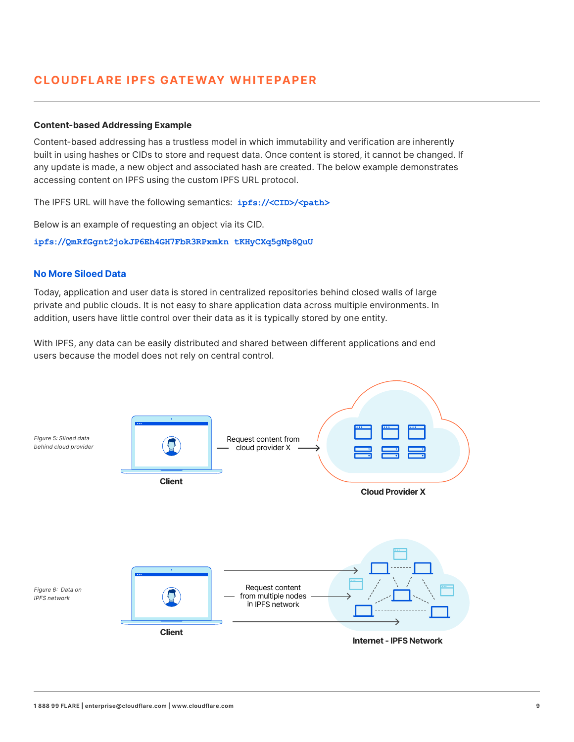#### **Content-based Addressing Example**

Content-based addressing has a trustless model in which immutability and verification are inherently built in using hashes or CIDs to store and request data. Once content is stored, it cannot be changed. If any update is made, a new object and associated hash are created. The below example demonstrates accessing content on IPFS using the custom IPFS URL protocol.

The IPFS URL will have the following semantics: **ipfs://<CID>/<path>**

Below is an example of requesting an object via its CID.

**ipfs://QmRfGgnt2jokJP6Eh4GH7FbR3RPxmkn tKHyCXq5gNp8QuU**

#### **No More Siloed Data**

Today, application and user data is stored in centralized repositories behind closed walls of large private and public clouds. It is not easy to share application data across multiple environments. In addition, users have little control over their data as it is typically stored by one entity.

With IPFS, any data can be easily distributed and shared between different applications and end users because the model does not rely on central control.

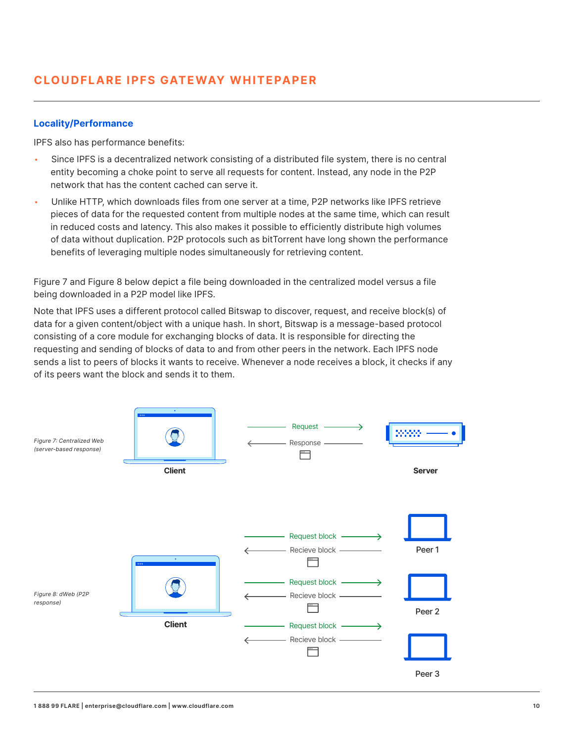#### **Locality/Performance**

IPFS also has performance benefits:

- Since IPFS is a decentralized network consisting of a distributed file system, there is no central entity becoming a choke point to serve all requests for content. Instead, any node in the P2P network that has the content cached can serve it.
- Unlike HTTP, which downloads files from one server at a time, P2P networks like IPFS retrieve pieces of data for the requested content from multiple nodes at the same time, which can result in reduced costs and latency. This also makes it possible to efficiently distribute high volumes of data without duplication. P2P protocols such as bitTorrent have long shown the performance benefits of leveraging multiple nodes simultaneously for retrieving content.

Figure 7 and Figure 8 below depict a file being downloaded in the centralized model versus a file being downloaded in a P2P model like IPFS.

Note that IPFS uses a different protocol called Bitswap to discover, request, and receive block(s) of data for a given content/object with a unique hash. In short, Bitswap is a message-based protocol consisting of a core module for exchanging blocks of data. It is responsible for directing the requesting and sending of blocks of data to and from other peers in the network. Each IPFS node sends a list to peers of blocks it wants to receive. Whenever a node receives a block, it checks if any of its peers want the block and sends it to them.

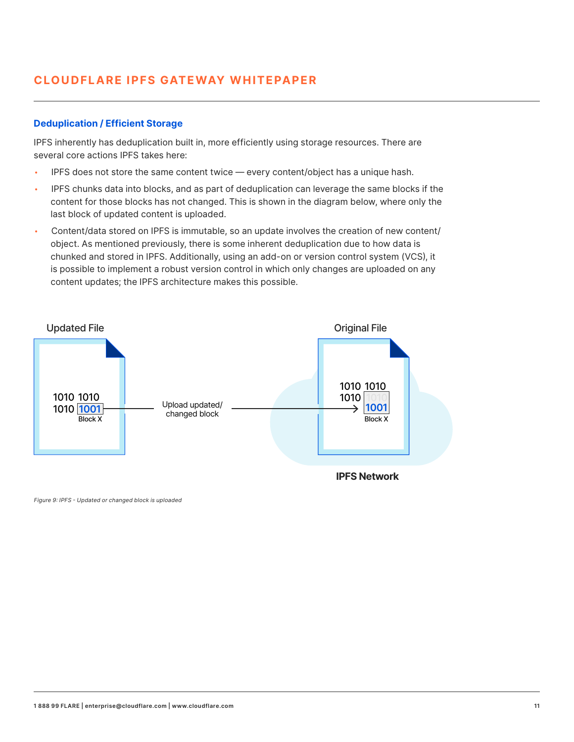#### **Deduplication / Efficient Storage**

IPFS inherently has deduplication built in, more efficiently using storage resources. There are several core actions IPFS takes here:

- IPFS does not store the same content twice  $-$  every content/object has a unique hash.
- IPFS chunks data into blocks, and as part of deduplication can leverage the same blocks if the content for those blocks has not changed. This is shown in the diagram below, where only the last block of updated content is uploaded.
- Content/data stored on IPFS is immutable, so an update involves the creation of new content/ object. As mentioned previously, there is some inherent deduplication due to how data is chunked and stored in IPFS. Additionally, using an add-on or version control system (VCS), it is possible to implement a robust version control in which only changes are uploaded on any content updates; the IPFS architecture makes this possible.



**IPFS Network**

Figure 9: IPFS - Updated or changed block is uploaded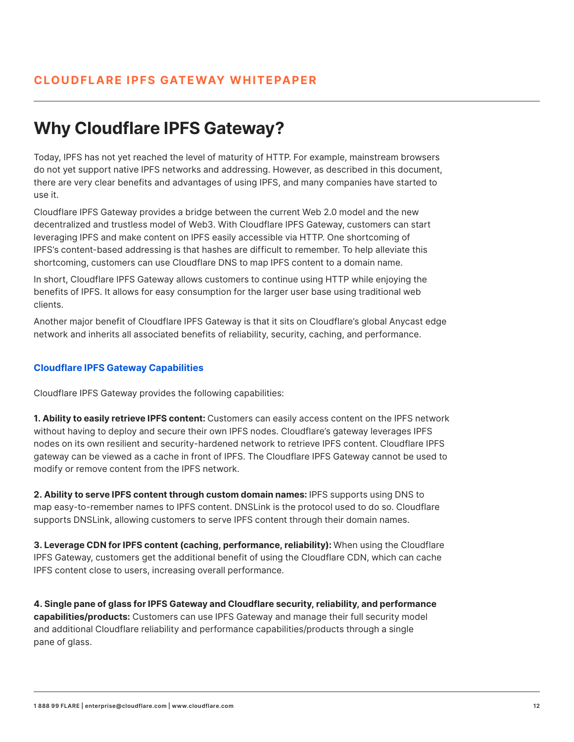## **Why Cloudflare IPFS Gateway?**

Today, IPFS has not yet reached the level of maturity of HTTP. For example, mainstream browsers do not yet support native IPFS networks and addressing. However, as described in this document, there are very clear benefits and advantages of using IPFS, and many companies have started to use it.

Cloudflare IPFS Gateway provides a bridge between the current Web 2.0 model and the new decentralized and trustless model of Web3. With Cloudflare IPFS Gateway, customers can start leveraging IPFS and make content on IPFS easily accessible via HTTP. One shortcoming of IPFS's content-based addressing is that hashes are difficult to remember. To help alleviate this shortcoming, customers can use Cloudflare DNS to map IPFS content to a domain name.

In short, Cloudflare IPFS Gateway allows customers to continue using HTTP while enjoying the benefits of IPFS. It allows for easy consumption for the larger user base using traditional web clients.

Another major benefit of Cloudflare IPFS Gateway is that it sits on Cloudflare's global Anycast edge network and inherits all associated benefits of reliability, security, caching, and performance.

#### **Cloudflare IPFS Gateway Capabilities**

Cloudflare IPFS Gateway provides the following capabilities:

**1. Ability to easily retrieve IPFS content:** Customers can easily access content on the IPFS network without having to deploy and secure their own IPFS nodes. Cloudflare's gateway leverages IPFS nodes on its own resilient and security-hardened network to retrieve IPFS content. Cloudflare IPFS gateway can be viewed as a cache in front of IPFS. The Cloudflare IPFS Gateway cannot be used to modify or remove content from the IPFS network.

**2. Ability to serve IPFS content through custom domain names:** IPFS supports using DNS to map easy-to-remember names to IPFS content. DNSLink is the protocol used to do so. Cloudflare supports DNSLink, allowing customers to serve IPFS content through their domain names.

**3. Leverage CDN for IPFS content (caching, performance, reliability):** When using the Cloudflare IPFS Gateway, customers get the additional benefit of using the Cloudflare CDN, which can cache IPFS content close to users, increasing overall performance.

**4. Single pane of glass for IPFS Gateway and Cloudflare security, reliability, and performance capabilities/products:** Customers can use IPFS Gateway and manage their full security model and additional Cloudflare reliability and performance capabilities/products through a single pane of glass.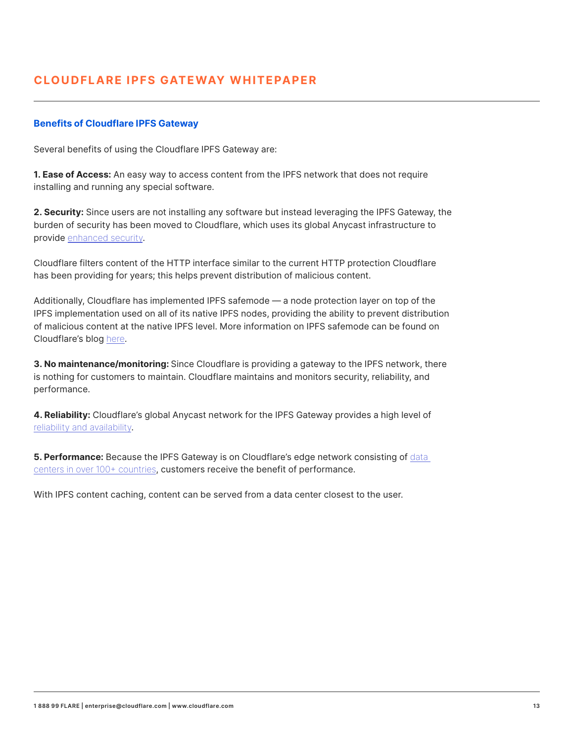#### **Benefits of Cloudflare IPFS Gateway**

Several benefits of using the Cloudflare IPFS Gateway are:

**1. Ease of Access:** An easy way to access content from the IPFS network that does not require installing and running any special software.

**2. Security:** Since users are not installing any software but instead leveraging the IPFS Gateway, the burden of security has been moved to Cloudflare, which uses its global Anycast infrastructure to provide enhanced security.

Cloudflare filters content of the HTTP interface similar to the current HTTP protection Cloudflare has been providing for years; this helps prevent distribution of malicious content.

Additionally, Cloudflare has implemented IPFS safemode — a node protection layer on top of the IPFS implementation used on all of its native IPFS nodes, providing the ability to prevent distribution of malicious content at the native IPFS level. More information on IPFS safemode can be found on Cloudflare's blog here.

**3. No maintenance/monitoring:** Since Cloudflare is providing a gateway to the IPFS network, there is nothing for customers to maintain. Cloudflare maintains and monitors security, reliability, and performance.

**4. Reliability:** Cloudflare's global Anycast network for the IPFS Gateway provides a high level of reliability and availability.

**5. Performance:** Because the IPFS Gateway is on Cloudflare's edge network consisting of data centers in over 100+ countries, customers receive the benefit of performance.

With IPFS content caching, content can be served from a data center closest to the user.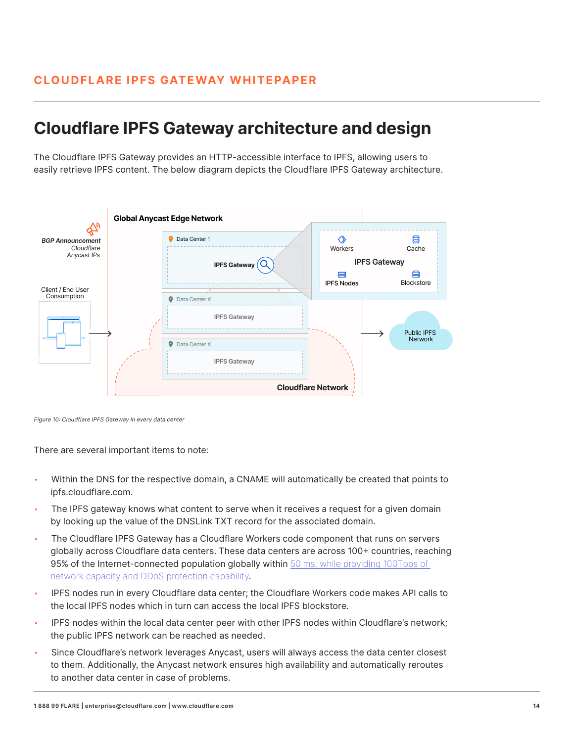### **Cloudflare IPFS Gateway architecture and design**

The Cloudflare IPFS Gateway provides an HTTP-accessible interface to IPFS, allowing users to easily retrieve IPFS content. The below diagram depicts the Cloudflare IPFS Gateway architecture.



Figure 10: Cloudflare IPFS Gateway in every data center

There are several important items to note:

- Within the DNS for the respective domain, a CNAME will automatically be created that points to ipfs.cloudflare.com.
- The IPFS gateway knows what content to serve when it receives a request for a given domain by looking up the value of the DNSLink TXT record for the associated domain.
- The Cloudflare IPFS Gateway has a Cloudflare Workers code component that runs on servers globally across Cloudflare data centers. These data centers are across 100+ countries, reaching 95% of the Internet-connected population globally within 50 ms, while providing 100Tbps of network capacity and DDoS protection capability.
- IPFS nodes run in every Cloudflare data center; the Cloudflare Workers code makes API calls to the local IPFS nodes which in turn can access the local IPFS blockstore.
- IPFS nodes within the local data center peer with other IPFS nodes within Cloudflare's network; the public IPFS network can be reached as needed.
- Since Cloudflare's network leverages Anycast, users will always access the data center closest to them. Additionally, the Anycast network ensures high availability and automatically reroutes to another data center in case of problems.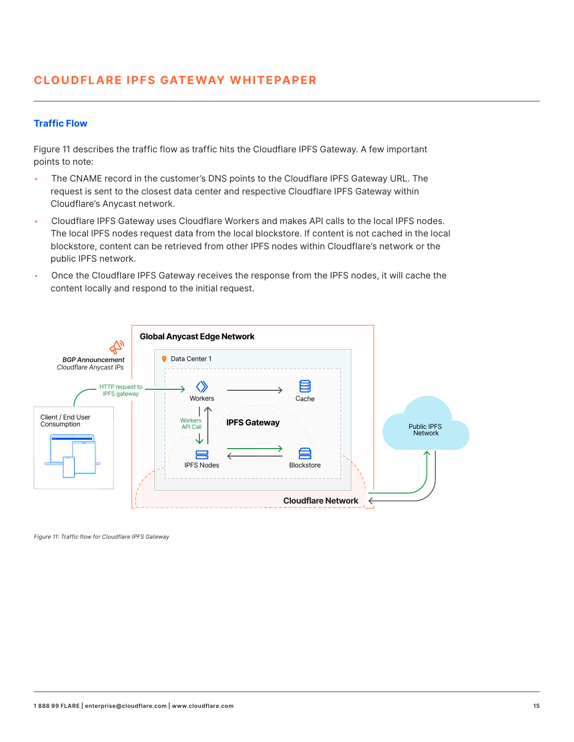#### **Traffic Flow**

Figure 11 describes the traffic flow as traffic hits the Cloudflare IPFS Gateway. A few important points to note:

- The CNAME record in the customer's DNS points to the Cloudflare IPFS Gateway URL. The request is sent to the closest data center and respective Cloudflare IPFS Gateway within Cloudflare's Anycast network.
- Cloudflare IPFS Gateway uses Cloudflare Workers and makes API calls to the local IPFS nodes. The local IPFS nodes request data from the local blockstore. If content is not cached in the local blockstore, content can be retrieved from other IPFS nodes within Cloudflare's network or the public IPFS network.
- Once the Cloudflare IPFS Gateway receives the response from the IPFS nodes, it will cache the content locally and respond to the initial request.



Figure 11: Traffic flow for Cloudflare IPFS Gateway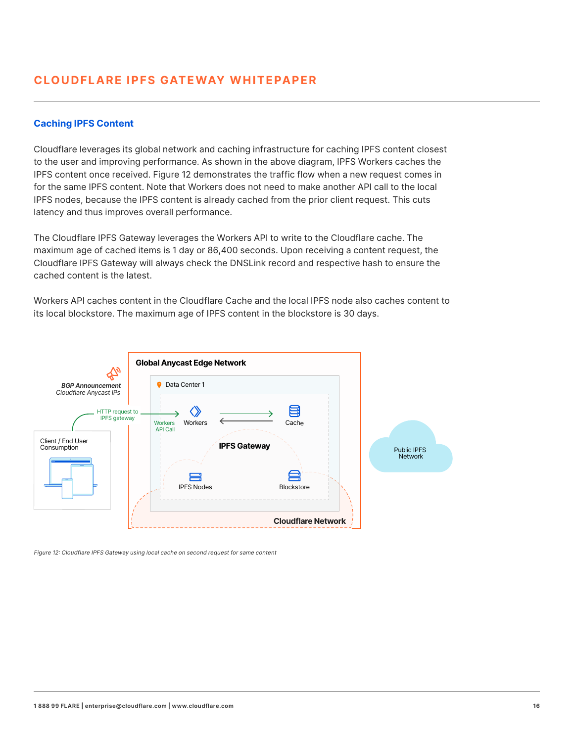#### **Caching IPFS Content**

Cloudflare leverages its global network and caching infrastructure for caching IPFS content closest to the user and improving performance. As shown in the above diagram, IPFS Workers caches the IPFS content once received. Figure 12 demonstrates the traffic flow when a new request comes in for the same IPFS content. Note that Workers does not need to make another API call to the local IPFS nodes, because the IPFS content is already cached from the prior client request. This cuts latency and thus improves overall performance.

The Cloudflare IPFS Gateway leverages the Workers API to write to the Cloudflare cache. The maximum age of cached items is 1 day or 86,400 seconds. Upon receiving a content request, the Cloudflare IPFS Gateway will always check the DNSLink record and respective hash to ensure the cached content is the latest.

Workers API caches content in the Cloudflare Cache and the local IPFS node also caches content to its local blockstore. The maximum age of IPFS content in the blockstore is 30 days.



Figure 12: Cloudflare IPFS Gateway using local cache on second request for same content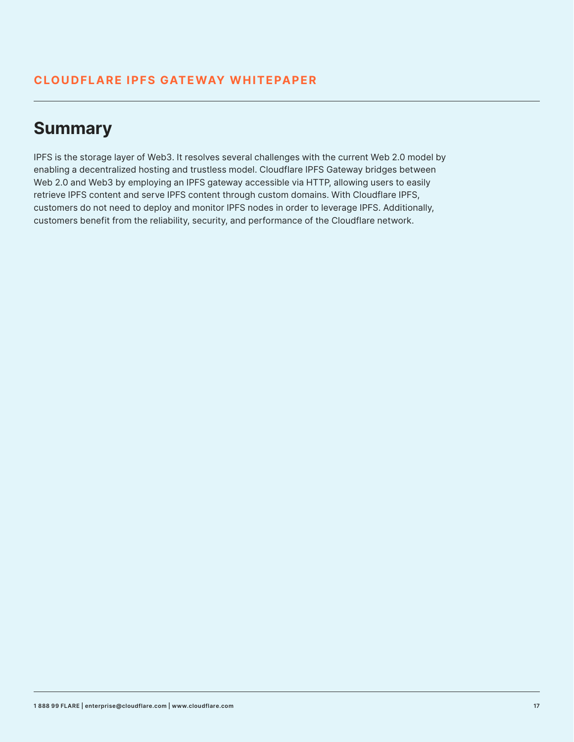## **Summary**

IPFS is the storage layer of Web3. It resolves several challenges with the current Web 2.0 model by enabling a decentralized hosting and trustless model. Cloudflare IPFS Gateway bridges between Web 2.0 and Web3 by employing an IPFS gateway accessible via HTTP, allowing users to easily retrieve IPFS content and serve IPFS content through custom domains. With Cloudflare IPFS, customers do not need to deploy and monitor IPFS nodes in order to leverage IPFS. Additionally, customers benefit from the reliability, security, and performance of the Cloudflare network.